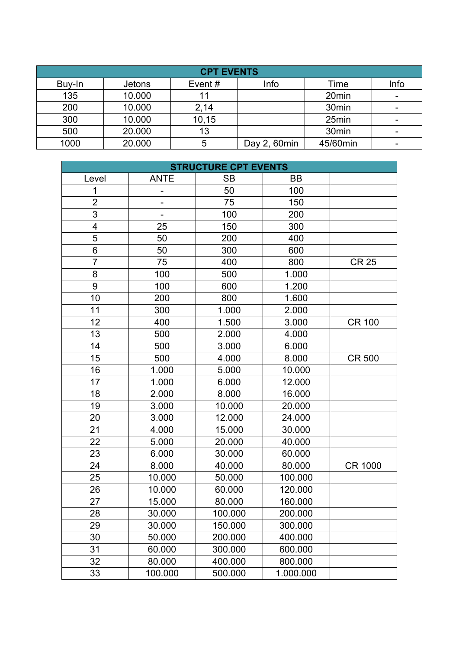| <b>CPT EVENTS</b> |               |        |              |                   |      |  |
|-------------------|---------------|--------|--------------|-------------------|------|--|
| Buy-In            | <b>Jetons</b> | Event# | Info         | Time              | Info |  |
| 135               | 10.000        | 11     |              | 20 <sub>min</sub> |      |  |
| 200               | 10.000        | 2,14   |              | 30 <sub>min</sub> |      |  |
| 300               | 10.000        | 10, 15 |              | 25min             |      |  |
| 500               | 20.000        | 13     |              | 30 <sub>min</sub> |      |  |
| 1000              | 20.000        | 5      | Day 2, 60min | 45/60min          |      |  |

| <b>STRUCTURE CPT EVENTS</b> |             |           |           |                |  |
|-----------------------------|-------------|-----------|-----------|----------------|--|
| Level                       | <b>ANTE</b> | <b>SB</b> | BB        |                |  |
| 1                           |             | 50        | 100       |                |  |
| $\overline{2}$              |             | 75        | 150       |                |  |
| 3                           |             | 100       | 200       |                |  |
| 4                           | 25          | 150       | 300       |                |  |
| 5                           | 50          | 200       | 400       |                |  |
| 6                           | 50          | 300       | 600       |                |  |
| $\overline{7}$              | 75          | 400       | 800       | <b>CR 25</b>   |  |
| 8                           | 100         | 500       | 1.000     |                |  |
| 9                           | 100         | 600       | 1.200     |                |  |
| 10                          | 200         | 800       | 1.600     |                |  |
| 11                          | 300         | 1.000     | 2.000     |                |  |
| 12                          | 400         | 1.500     | 3.000     | <b>CR 100</b>  |  |
| 13                          | 500         | 2.000     | 4.000     |                |  |
| 14                          | 500         | 3.000     | 6.000     |                |  |
| 15                          | 500         | 4.000     | 8.000     | <b>CR 500</b>  |  |
| 16                          | 1.000       | 5.000     | 10.000    |                |  |
| 17                          | 1.000       | 6.000     | 12.000    |                |  |
| 18                          | 2.000       | 8.000     | 16.000    |                |  |
| 19                          | 3.000       | 10.000    | 20.000    |                |  |
| 20                          | 3.000       | 12.000    | 24.000    |                |  |
| 21                          | 4.000       | 15.000    | 30.000    |                |  |
| 22                          | 5.000       | 20.000    | 40.000    |                |  |
| 23                          | 6.000       | 30.000    | 60.000    |                |  |
| 24                          | 8.000       | 40.000    | 80.000    | <b>CR 1000</b> |  |
| 25                          | 10.000      | 50.000    | 100.000   |                |  |
| 26                          | 10.000      | 60.000    | 120.000   |                |  |
| 27                          | 15.000      | 80.000    | 160.000   |                |  |
| 28                          | 30.000      | 100.000   | 200.000   |                |  |
| 29                          | 30.000      | 150.000   | 300.000   |                |  |
| 30                          | 50.000      | 200.000   | 400.000   |                |  |
| 31                          | 60.000      | 300.000   | 600.000   |                |  |
| 32                          | 80.000      | 400.000   | 800.000   |                |  |
| 33                          | 100.000     | 500.000   | 1.000.000 |                |  |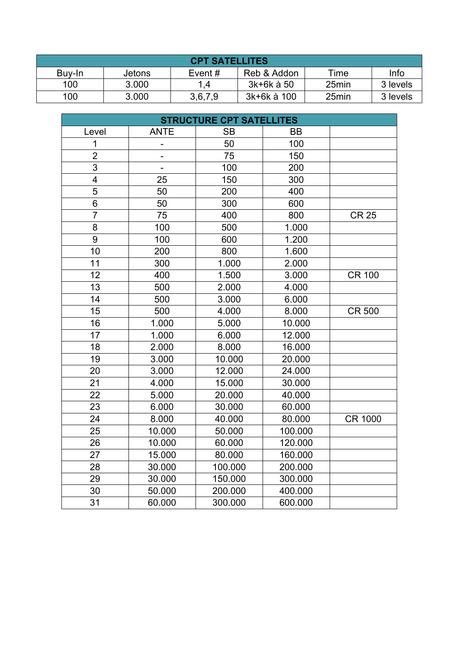| <b>CPT SATELLITES</b> |        |           |             |       |          |
|-----------------------|--------|-----------|-------------|-------|----------|
| Buy-In                | Jetons | Event $#$ | Reb & Addon | Time  | Info     |
| 100                   | 3.000  | 1,4       | 3k+6k à 50  | 25min | 3 levels |
| 100                   | 3.000  | 3,6,7,9   | 3k+6k à 100 | 25min | 3 levels |

| <b>STRUCTURE CPT SATELLITES</b> |                          |           |         |                |  |
|---------------------------------|--------------------------|-----------|---------|----------------|--|
| Level                           | <b>ANTE</b>              | <b>SB</b> | BB      |                |  |
| 1                               |                          | 50        | 100     |                |  |
| $\overline{2}$                  | $\overline{a}$           | 75        | 150     |                |  |
| 3                               | $\overline{\phantom{0}}$ | 100       | 200     |                |  |
| 4                               | 25                       | 150       | 300     |                |  |
| 5                               | 50                       | 200       | 400     |                |  |
| $\overline{6}$                  | 50                       | 300       | 600     |                |  |
| $\overline{7}$                  | 75                       | 400       | 800     | <b>CR 25</b>   |  |
| 8                               | 100                      | 500       | 1.000   |                |  |
| 9                               | 100                      | 600       | 1.200   |                |  |
| 10                              | 200                      | 800       | 1.600   |                |  |
| 11                              | 300                      | 1.000     | 2.000   |                |  |
| 12                              | 400                      | 1.500     | 3.000   | <b>CR 100</b>  |  |
| 13                              | 500                      | 2.000     | 4.000   |                |  |
| 14                              | 500                      | 3.000     | 6.000   |                |  |
| 15                              | 500                      | 4.000     | 8.000   | <b>CR 500</b>  |  |
| 16                              | 1.000                    | 5.000     | 10.000  |                |  |
| 17                              | 1.000                    | 6.000     | 12.000  |                |  |
| 18                              | 2.000                    | 8.000     | 16.000  |                |  |
| 19                              | 3.000                    | 10.000    | 20.000  |                |  |
| 20                              | 3.000                    | 12.000    | 24.000  |                |  |
| 21                              | 4.000                    | 15.000    | 30.000  |                |  |
| 22                              | 5.000                    | 20.000    | 40.000  |                |  |
| 23                              | 6.000                    | 30.000    | 60.000  |                |  |
| 24                              | 8.000                    | 40.000    | 80.000  | <b>CR 1000</b> |  |
| 25                              | 10.000                   | 50.000    | 100.000 |                |  |
| 26                              | 10.000                   | 60.000    | 120.000 |                |  |
| 27                              | 15.000                   | 80.000    | 160.000 |                |  |
| 28                              | 30.000                   | 100.000   | 200.000 |                |  |
| 29                              | 30.000                   | 150.000   | 300.000 |                |  |
| 30                              | 50.000                   | 200.000   | 400.000 |                |  |
| 31                              | 60.000                   | 300.000   | 600.000 |                |  |